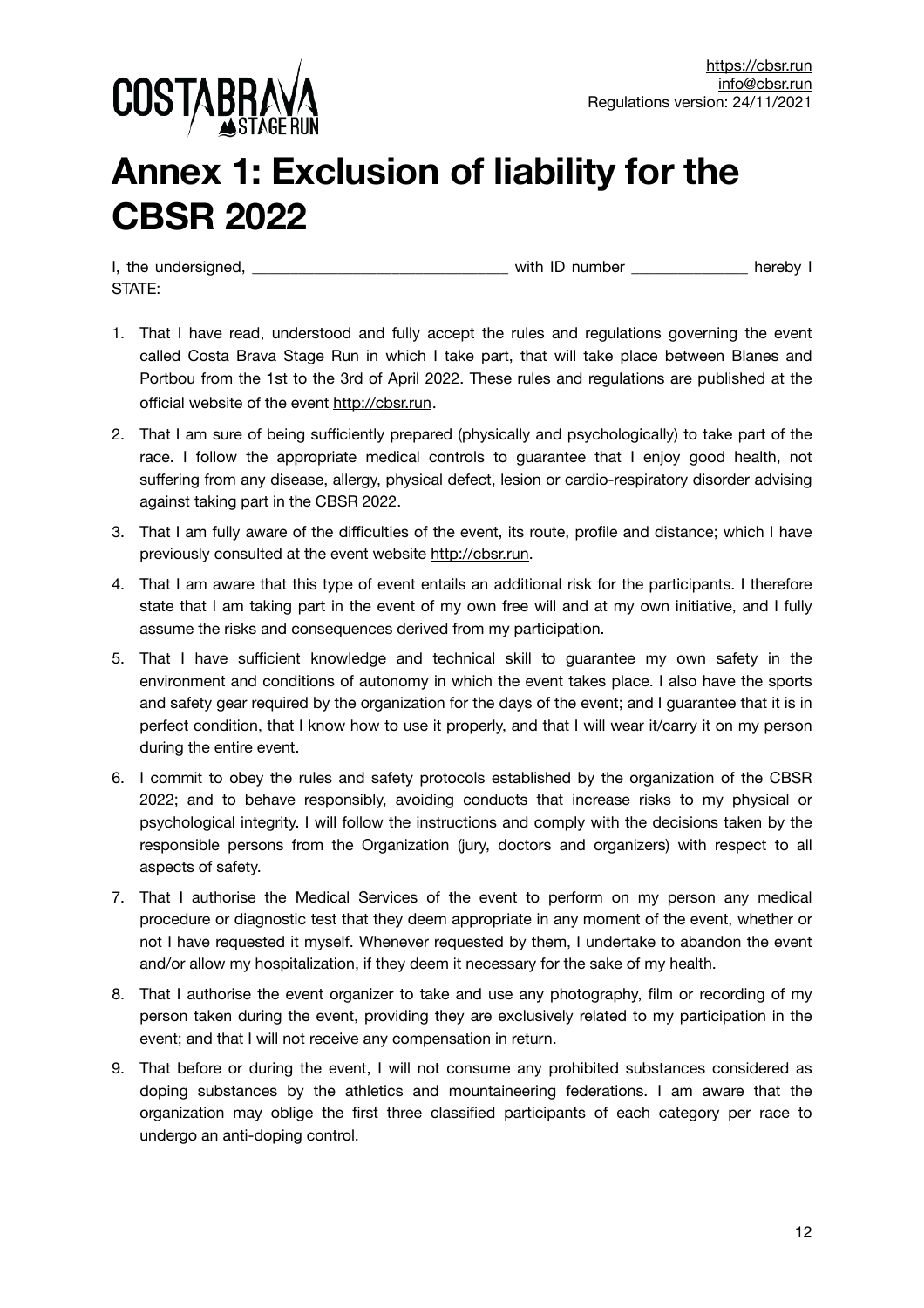

## **Annex 1: Exclusion of liability for the CBSR 2022**

I, the undersigned, the undersigned, the state of the state of the state of the state of the state of the state of the state of the state of the state of the state of the state of the state of the state of the state of the STATE:

- 1. That I have read, understood and fully accept the rules and regulations governing the event called Costa Brava Stage Run in which I take part, that will take place between Blanes and Portbou from the 1st to the 3rd of April 2022. These rules and regulations are published at the official website of the event <http://cbsr.run>.
- 2. That I am sure of being sufficiently prepared (physically and psychologically) to take part of the race. I follow the appropriate medical controls to guarantee that I enjoy good health, not suffering from any disease, allergy, physical defect, lesion or cardio-respiratory disorder advising against taking part in the CBSR 2022.
- 3. That I am fully aware of the difficulties of the event, its route, profile and distance; which I have previously consulted at the event website [http://cbsr.run.](http://cbsr.run)
- 4. That I am aware that this type of event entails an additional risk for the participants. I therefore state that I am taking part in the event of my own free will and at my own initiative, and I fully assume the risks and consequences derived from my participation.
- 5. That I have sufficient knowledge and technical skill to guarantee my own safety in the environment and conditions of autonomy in which the event takes place. I also have the sports and safety gear required by the organization for the days of the event; and I guarantee that it is in perfect condition, that I know how to use it properly, and that I will wear it/carry it on my person during the entire event.
- 6. I commit to obey the rules and safety protocols established by the organization of the CBSR 2022; and to behave responsibly, avoiding conducts that increase risks to my physical or psychological integrity. I will follow the instructions and comply with the decisions taken by the responsible persons from the Organization (jury, doctors and organizers) with respect to all aspects of safety.
- 7. That I authorise the Medical Services of the event to perform on my person any medical procedure or diagnostic test that they deem appropriate in any moment of the event, whether or not I have requested it myself. Whenever requested by them, I undertake to abandon the event and/or allow my hospitalization, if they deem it necessary for the sake of my health.
- 8. That I authorise the event organizer to take and use any photography, film or recording of my person taken during the event, providing they are exclusively related to my participation in the event; and that I will not receive any compensation in return.
- 9. That before or during the event, I will not consume any prohibited substances considered as doping substances by the athletics and mountaineering federations. I am aware that the organization may oblige the first three classified participants of each category per race to undergo an anti-doping control.